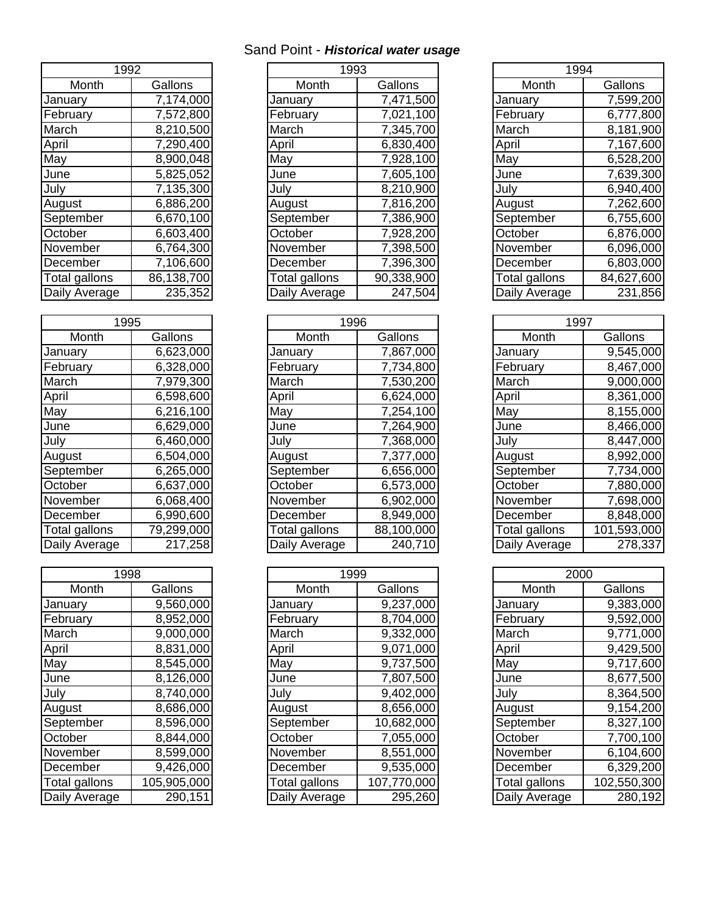## Sand Point - *Historical water usage*

| 1992          |            |  |  |
|---------------|------------|--|--|
| Month         | Gallons    |  |  |
| January       | 7,174,000  |  |  |
| February      | 7,572,800  |  |  |
| March         | 8,210,500  |  |  |
| April         | 7,290,400  |  |  |
| May           | 8,900,048  |  |  |
| June          | 5,825,052  |  |  |
| July          | 7,135,300  |  |  |
| August        | 6,886,200  |  |  |
| September     | 6,670,100  |  |  |
| October       | 6,603,400  |  |  |
| November      | 6,764,300  |  |  |
| December      | 7,106,600  |  |  |
| Total gallons | 86,138,700 |  |  |
| Daily Average | 235,352    |  |  |

| 1995          |            |  |  |
|---------------|------------|--|--|
| Month         | Gallons    |  |  |
| January       | 6,623,000  |  |  |
| February      | 6,328,000  |  |  |
| March         | 7,979,300  |  |  |
| April         | 6,598,600  |  |  |
| May           | 6,216,100  |  |  |
| June          | 6,629,000  |  |  |
| July          | 6,460,000  |  |  |
| August        | 6,504,000  |  |  |
| September     | 6,265,000  |  |  |
| October       | 6,637,000  |  |  |
| November      | 6,068,400  |  |  |
| December      | 6,990,600  |  |  |
| Total gallons | 79,299,000 |  |  |
| Daily Average | 217 258    |  |  |

| 1998                 |             |  |  |
|----------------------|-------------|--|--|
| Month                | Gallons     |  |  |
| January              | 9,560,000   |  |  |
| February             | 8,952,000   |  |  |
| March                | 9,000,000   |  |  |
| April                | 8,831,000   |  |  |
| May                  | 8,545,000   |  |  |
| June                 | 8,126,000   |  |  |
| July                 | 8,740,000   |  |  |
| August               | 8,686,000   |  |  |
| September            | 8,596,000   |  |  |
| October              | 8,844,000   |  |  |
| November             | 8,599,000   |  |  |
| December             | 9,426,000   |  |  |
| <b>Total gallons</b> | 105,905,000 |  |  |
| Daily Average        | 290,151     |  |  |

| 1992       |               |            | 1994          |            |
|------------|---------------|------------|---------------|------------|
| Gallons    | Month         | Gallons    | Month         | Gallons    |
| 7,174,000  | Januarv       | 7,471,500  | January       | 7,599,200  |
| 7,572,800  | February      | 7,021,100  | February      | 6,777,800  |
| 8,210,500  | March         | 7,345,700  | March         | 8,181,900  |
| 7,290,400  | April         | 6,830,400  | April         | 7,167,600  |
| 8,900,048  | May           | 7,928,100  | May           | 6,528,200  |
| 5,825,052  | June          | 7,605,100  | June          | 7,639,300  |
| 7,135,300  | July          | 8,210,900  | July          | 6,940,400  |
| 6,886,200  | August        | 7,816,200  | August        | 7,262,600  |
| 6,670,100  | September     | 7,386,900  | September     | 6,755,600  |
| 6,603,400  | October       | 7,928,200  | October       | 6,876,000  |
| 6,764,300  | November      | 7,398,500  | November      | 6,096,000  |
| 7,106,600  | December      | 7,396,300  | December      | 6,803,000  |
| 86,138,700 | Total gallons | 90,338,900 | Total gallons | 84,627,600 |
| 235,352    | Daily Average | 247,504    | Daily Average | 231,856    |
|            |               |            | 1993          |            |

| 1995          |            | 1996          |            | 1997          |             |
|---------------|------------|---------------|------------|---------------|-------------|
| Month         | Gallons    | Month         | Gallons    | Month         | Gallons     |
| January       | 6,623,000  | Januarv       | 7,867,000  | January       | 9,545,000   |
| February      | 6,328,000  | February      | 7,734,800  | February      | 8,467,000   |
| March         | 7,979,300  | March         | 7,530,200  | March         | 9,000,000   |
| April         | 6,598,600  | April         | 6,624,000  | April         | 8,361,000   |
| May           | 6,216,100  | May           | 7,254,100  | May           | 8,155,000   |
| June          | 6,629,000  | June          | 7,264,900  | June          | 8,466,000   |
| July          | 6,460,000  | July          | 7,368,000  | July          | 8,447,000   |
| August        | 6,504,000  | August        | 7,377,000  | August        | 8,992,000   |
| September     | 6,265,000  | September     | 6,656,000  | September     | 7,734,000   |
| October       | 6,637,000  | October       | 6,573,000  | October       | 7,880,000   |
| November      | 6,068,400  | November      | 6,902,000  | November      | 7,698,000   |
| December      | 6,990,600  | December      | 8,949,000  | December      | 8,848,000   |
| Total gallons | 79,299,000 | Total gallons | 88,100,000 | Total gallons | 101,593,000 |
| Daily Average | 217,258    | Daily Average | 240,710    | Daily Average | 278,337     |

| 1998          |             | 1999          |             | 2000          |             |
|---------------|-------------|---------------|-------------|---------------|-------------|
| Month         | Gallons     | Month         | Gallons     | Month         | Gallons     |
| January       | 9,560,000   | January       | 9,237,000   | Januarv       | 9,383,000   |
| February      | 8,952,000   | February      | 8,704,000   | February      | 9,592,000   |
| March         | 9,000,000   | March         | 9,332,000   | March         | 9,771,000   |
| April         | 8,831,000   | April         | 9,071,000   | April         | 9,429,500   |
| May           | 8,545,000   | May           | 9,737,500   | May           | 9,717,600   |
| June          | 8,126,000   | June          | 7,807,500   | June          | 8,677,500   |
| July          | 8,740,000   | July          | 9,402,000   | July          | 8,364,500   |
| August        | 8,686,000   | August        | 8,656,000   | August        | 9,154,200   |
| September     | 8,596,000   | September     | 10,682,000  | September     | 8,327,100   |
| October       | 8,844,000   | October       | 7,055,000   | October       | 7,700,100   |
| November      | 8,599,000   | November      | 8,551,000   | November      | 6,104,600   |
| December      | 9,426,000   | December      | 9,535,000   | December      | 6,329,200   |
| Total gallons | 105,905,000 | Total gallons | 107,770,000 | Total gallons | 102,550,300 |
| Daily Average | 290,151     | Daily Average | 295,260     | Daily Average | 280,192     |

| 1994                 |            |  |  |
|----------------------|------------|--|--|
| Month                | Gallons    |  |  |
| January              | 7,599,200  |  |  |
| February             | 6,777,800  |  |  |
| March                | 8,181,900  |  |  |
| April                | 7,167,600  |  |  |
| May                  | 6,528,200  |  |  |
| June                 | 7,639,300  |  |  |
| July                 | 6,940,400  |  |  |
| August               | 7,262,600  |  |  |
| September            | 6,755,600  |  |  |
| October              | 6,876,000  |  |  |
| November             | 6,096,000  |  |  |
| December             | 6,803,000  |  |  |
| <b>Total gallons</b> | 84,627,600 |  |  |
| Daily Average        | 231,856    |  |  |

| 1997          |             |  |  |
|---------------|-------------|--|--|
| Month         | Gallons     |  |  |
| January       | 9,545,000   |  |  |
| February      | 8,467,000   |  |  |
| March         | 9,000,000   |  |  |
| April         | 8,361,000   |  |  |
| May           | 8,155,000   |  |  |
| June          | 8,466,000   |  |  |
| July          | 8,447,000   |  |  |
| August        | 8,992,000   |  |  |
| September     | 7,734,000   |  |  |
| October       | 7,880,000   |  |  |
| November      | 7,698,000   |  |  |
| December      | 8,848,000   |  |  |
| Total gallons | 101,593,000 |  |  |
| Daily Average | 278,337     |  |  |

| 2000                 |             |  |  |  |
|----------------------|-------------|--|--|--|
| Month                | Gallons     |  |  |  |
| January              | 9,383,000   |  |  |  |
| February             | 9,592,000   |  |  |  |
| March                | 9,771,000   |  |  |  |
| April                | 9,429,500   |  |  |  |
| May                  | 9,717,600   |  |  |  |
| June                 | 8,677,500   |  |  |  |
| July                 | 8,364,500   |  |  |  |
| August               | 9,154,200   |  |  |  |
| September            | 8,327,100   |  |  |  |
| October              | 7,700,100   |  |  |  |
| November             | 6,104,600   |  |  |  |
| December             | 6,329,200   |  |  |  |
| <b>Total gallons</b> | 102,550,300 |  |  |  |
| Daily Average        | 280,192     |  |  |  |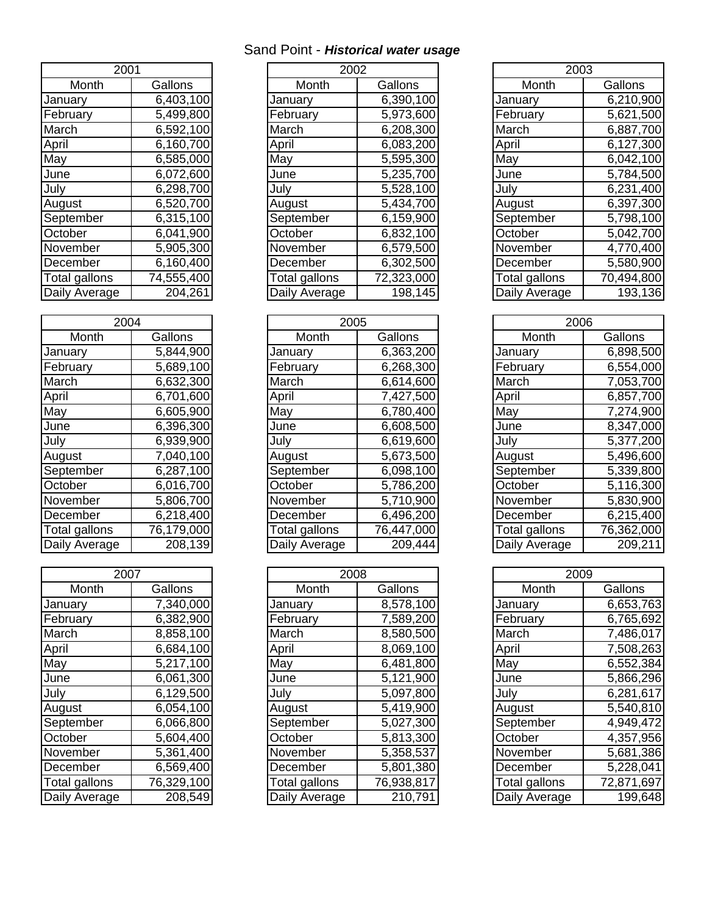## Sand Point - *Historical water usage*

| 2001          |                         |  |  |
|---------------|-------------------------|--|--|
| Month         | Gallons                 |  |  |
| January       | 6,403,100               |  |  |
| February      | 5,499,800               |  |  |
| March         | $\overline{6}$ ,592,100 |  |  |
| April         | 6,160,700               |  |  |
| May           | 6,585,000               |  |  |
| June          | 6,072,600               |  |  |
| July          | 6,298,700               |  |  |
| August        | 6,520,700               |  |  |
| September     | 6,315,100               |  |  |
| October       | 6,041,900               |  |  |
| November      | 5,905,300               |  |  |
| December      | 6,160,400               |  |  |
| Total gallons | 74,555,400              |  |  |
| Daily Average | 204,261                 |  |  |

| 20            |            |  |  |
|---------------|------------|--|--|
| Month         | Gallons    |  |  |
| January       | 5,844,900  |  |  |
| February      | 5,689,100  |  |  |
| March         | 6,632,300  |  |  |
| April         | 6,701,600  |  |  |
| May           | 6,605,900  |  |  |
| June          | 6,396,300  |  |  |
| July          | 6,939,900  |  |  |
| August        | 7,040,100  |  |  |
| September     | 6,287,100  |  |  |
| October       | 6,016,700  |  |  |
| November      | 5,806,700  |  |  |
| December      | 6,218,400  |  |  |
| Total gallons | 76,179,000 |  |  |
| Daily Average | 208 139    |  |  |

| 2007                 |            |  |  |  |
|----------------------|------------|--|--|--|
| Month                | Gallons    |  |  |  |
| January              | 7,340,000  |  |  |  |
| February             | 6,382,900  |  |  |  |
| March                | 8,858,100  |  |  |  |
| April                | 6,684,100  |  |  |  |
| May                  | 5,217,100  |  |  |  |
| June                 | 6,061,300  |  |  |  |
| July                 | 6,129,500  |  |  |  |
| August               | 6,054,100  |  |  |  |
| September            | 6,066,800  |  |  |  |
| October              | 5,604,400  |  |  |  |
| November             | 5,361,400  |  |  |  |
| December             | 6,569,400  |  |  |  |
| <b>Total gallons</b> | 76,329,100 |  |  |  |
| Daily Average        | 208,549    |  |  |  |

| 2001<br>2002<br>2003<br>Month<br>Month<br>Gallons<br>Month<br>Gallons<br>6,403,100<br>6,390,100<br>January<br>January<br>January | Gallons<br>6,210,900 |
|----------------------------------------------------------------------------------------------------------------------------------|----------------------|
|                                                                                                                                  |                      |
|                                                                                                                                  |                      |
|                                                                                                                                  |                      |
| February<br>5,499,800<br>5,973,600<br>February<br>February                                                                       | 5,621,500            |
| March<br>6,592,100<br>March<br>6,208,300<br>March                                                                                | 6,887,700            |
| April<br>6,160,700<br>6,083,200<br>April<br>April                                                                                | 6,127,300            |
| May<br>5,595,300<br>6,585,000<br>May<br>May                                                                                      | 6,042,100            |
| June<br>6,072,600<br>5,235,700<br>June<br>June                                                                                   | 5,784,500            |
| 6,298,700<br>5,528,100<br>July<br>July<br>July                                                                                   | 6,231,400            |
| 6,520,700<br>5,434,700<br>August<br>August<br>August                                                                             | 6,397,300            |
| 6,315,100<br>September<br>6,159,900<br>September<br>September                                                                    | 5,798,100            |
| October<br>6,832,100<br>6,041,900<br>October<br>October                                                                          | 5,042,700            |
| November<br>5,905,300<br>6,579,500<br>November<br>November                                                                       | 4,770,400            |
| 6,160,400<br>6,302,500<br>December<br>December<br>December                                                                       | 5,580,900            |
| Total gallons<br>74,555,400<br>72,323,000<br>Total gallons<br>Total gallons                                                      | 70,494,800           |
| Daily Average<br>198,145<br>204,261<br>Daily Average<br>Daily Average                                                            | 193,136              |

| 2004          |            | 2005          |            | 2006          |            |
|---------------|------------|---------------|------------|---------------|------------|
| Month         | Gallons    | Month         | Gallons    | Month         | Gallons    |
| January       | 5,844,900  | January       | 6,363,200  | January       | 6,898,500  |
| February      | 5,689,100  | February      | 6,268,300  | February      | 6,554,000  |
| March         | 6,632,300  | March         | 6,614,600  | March         | 7,053,700  |
| April         | 6,701,600  | April         | 7,427,500  | April         | 6,857,700  |
| May           | 6,605,900  | May           | 6,780,400  | May           | 7,274,900  |
| June          | 6,396,300  | June          | 6,608,500  | June          | 8,347,000  |
| July          | 6,939,900  | July          | 6,619,600  | July          | 5,377,200  |
| August        | 7,040,100  | August        | 5,673,500  | August        | 5,496,600  |
| September     | 6,287,100  | September     | 6,098,100  | September     | 5,339,800  |
| October       | 6,016,700  | October       | 5,786,200  | October       | 5,116,300  |
| November      | 5,806,700  | November      | 5,710,900  | November      | 5,830,900  |
| December      | 6,218,400  | December      | 6,496,200  | December      | 6,215,400  |
| Total gallons | 76,179,000 | Total gallons | 76,447,000 | Total gallons | 76,362,000 |
| Daily Average | 208,139    | Daily Average | 209,444    | Daily Average | 209,211    |

| Month<br>Month<br>Month<br>Gallons<br>Gallons<br>Gallons<br>7,340,000<br>8,578,100<br>6,653,763<br>Januarv<br>Januarv<br>7,589,200<br>February<br>6,765,692<br>6,382,900<br>February<br>8,858,100<br>March<br>March<br>7,486,017<br>8,580,500<br>6,684,100<br>8,069,100<br>7,508,263<br>April<br>April |  |
|--------------------------------------------------------------------------------------------------------------------------------------------------------------------------------------------------------------------------------------------------------------------------------------------------------|--|
| January<br>February<br>March<br>April                                                                                                                                                                                                                                                                  |  |
|                                                                                                                                                                                                                                                                                                        |  |
|                                                                                                                                                                                                                                                                                                        |  |
|                                                                                                                                                                                                                                                                                                        |  |
|                                                                                                                                                                                                                                                                                                        |  |
| May<br>6,552,384<br>5,217,100<br>6,481,800<br>May<br>May                                                                                                                                                                                                                                               |  |
| June<br>6,061,300<br>5,121,900<br>5,866,296<br>June<br>June                                                                                                                                                                                                                                            |  |
| July<br>July<br>6,129,500<br>5,097,800<br>6,281,617<br>July                                                                                                                                                                                                                                            |  |
| 6,054,100<br>5,419,900<br>5,540,810<br>August<br>August<br>August                                                                                                                                                                                                                                      |  |
| September<br>6,066,800<br>5,027,300<br>4,949,472<br>September<br>September                                                                                                                                                                                                                             |  |
| October<br>5,604,400<br>5,813,300<br>4,357,956<br>October<br>October                                                                                                                                                                                                                                   |  |
| 5,358,537<br>5,681,386<br>November<br>5,361,400<br>November<br>November                                                                                                                                                                                                                                |  |
| 6,569,400<br>5,228,041<br>December<br>December<br>5,801,380<br>December                                                                                                                                                                                                                                |  |
| 76,329,100<br>76,938,817<br>72,871,697<br>Total gallons<br>Total gallons<br>Total gallons                                                                                                                                                                                                              |  |
| 210,791<br>Daily Average<br>208,549<br>Daily Average<br>199,648<br>Daily Average                                                                                                                                                                                                                       |  |

| Month                | Gallons    |  |  |  |
|----------------------|------------|--|--|--|
| January              | 6,210,900  |  |  |  |
| February             | 5,621,500  |  |  |  |
| March                | 6,887,700  |  |  |  |
| April                | 6,127,300  |  |  |  |
| May                  | 6,042,100  |  |  |  |
| June                 | 5,784,500  |  |  |  |
| July                 | 6,231,400  |  |  |  |
| August               | 6,397,300  |  |  |  |
| September            | 5,798,100  |  |  |  |
| October              | 5,042,700  |  |  |  |
| November             | 4,770,400  |  |  |  |
| December             | 5,580,900  |  |  |  |
| <b>Total gallons</b> | 70,494,800 |  |  |  |
| Daily Average        | 193,136    |  |  |  |

| 2006          |            |  |  |  |
|---------------|------------|--|--|--|
| Month         | Gallons    |  |  |  |
| January       | 6,898,500  |  |  |  |
| February      | 6,554,000  |  |  |  |
| March         | 7,053,700  |  |  |  |
| April         | 6,857,700  |  |  |  |
| May           | 7,274,900  |  |  |  |
| June          | 8,347,000  |  |  |  |
| July          | 5,377,200  |  |  |  |
| August        | 5,496,600  |  |  |  |
| September     | 5,339,800  |  |  |  |
| October       | 5,116,300  |  |  |  |
| November      | 5,830,900  |  |  |  |
| December      | 6,215,400  |  |  |  |
| Total gallons | 76,362,000 |  |  |  |
| Daily Average | 209,211    |  |  |  |

| 2009          |            |  |  |  |
|---------------|------------|--|--|--|
| Month         | Gallons    |  |  |  |
| January       | 6,653,763  |  |  |  |
| February      | 6,765,692  |  |  |  |
| March         | 7,486,017  |  |  |  |
| April         | 7,508,263  |  |  |  |
| May           | 6,552,384  |  |  |  |
| June          | 5,866,296  |  |  |  |
| July          | 6,281,617  |  |  |  |
| August        | 5,540,810  |  |  |  |
| September     | 4,949,472  |  |  |  |
| October       | 4,357,956  |  |  |  |
| November      | 5,681,386  |  |  |  |
| December      | 5,228,041  |  |  |  |
| Total gallons | 72,871,697 |  |  |  |
| Daily Average | 199,648    |  |  |  |